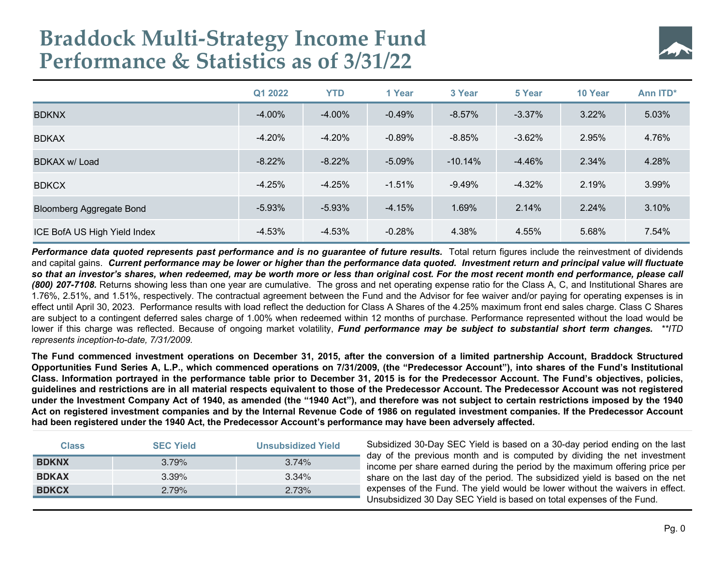#### **Braddock Multi-Strategy Income Fund Performance & Statistics as of 3/31/22**



|                              | Q1 2022   | <b>YTD</b> | 1 Year    | 3 Year    | 5 Year    | 10 Year | Ann ITD* |
|------------------------------|-----------|------------|-----------|-----------|-----------|---------|----------|
| <b>BDKNX</b>                 | $-4.00\%$ | $-4.00\%$  | $-0.49%$  | $-8.57%$  | $-3.37\%$ | 3.22%   | 5.03%    |
| <b>BDKAX</b>                 | $-4.20\%$ | $-4.20%$   | $-0.89%$  | $-8.85%$  | $-3.62%$  | 2.95%   | 4.76%    |
| BDKAX w/ Load                | $-8.22\%$ | $-8.22%$   | $-5.09\%$ | $-10.14%$ | $-4.46%$  | 2.34%   | 4.28%    |
| <b>BDKCX</b>                 | $-4.25%$  | $-4.25%$   | $-1.51%$  | $-9.49%$  | $-4.32%$  | 2.19%   | 3.99%    |
| Bloomberg Aggregate Bond     | $-5.93%$  | $-5.93%$   | $-4.15%$  | 1.69%     | 2.14%     | 2.24%   | 3.10%    |
| ICE BofA US High Yield Index | $-4.53\%$ | $-4.53%$   | $-0.28%$  | 4.38%     | 4.55%     | 5.68%   | 7.54%    |

*Performance data quoted represents past performance and is no guarantee of future results.* Total return figures include the reinvestment of dividends and capital gains. Current performance may be lower or higher than the performance data quoted. Investment return and principal value will fluctuate so that an investor's shares, when redeemed, may be worth more or less than original cost. For the most recent month end performance, please call *(800) 207-7108.* Returns showing less than one year are cumulative. The gross and net operating expense ratio for the Class A, C, and Institutional Shares are 1.76%, 2.51%, and 1.51%, respectively. The contractual agreement between the Fund and the Advisor for fee waiver and/or paying for operating expenses is in effect until April 30, 2023. Performance results with load reflect the deduction for Class A Shares of the 4.25% maximum front end sales charge. Class C Shares are subject to a contingent deferred sales charge of 1.00% when redeemed within 12 months of purchase. Performance represented without the load would be lower if this charge was reflected. Because of ongoing market volatility, *Fund performance may be subject to substantial short term changes. \*\*ITD represents inception-to-date, 7/31/2009.*

The Fund commenced investment operations on December 31, 2015, after the conversion of a limited partnership Account, Braddock Structured Opportunities Fund Series A, L.P., which commenced operations on 7/31/2009, (the "Predecessor Account"), into shares of the Fund's Institutional Class. Information portrayed in the performance table prior to December 31, 2015 is for the Predecessor Account. The Fund's objectives, policies, guidelines and restrictions are in all material respects equivalent to those of the Predecessor Account. The Predecessor Account was not registered under the Investment Company Act of 1940, as amended (the "1940 Act"), and therefore was not subject to certain restrictions imposed by the 1940 Act on registered investment companies and by the Internal Revenue Code of 1986 on regulated investment companies. If the Predecessor Account **had been registered under the 1940 Act, the Predecessor Account's performance may have been adversely affected.**

| <b>Class</b> | <b>SEC Yield</b> | <b>Unsubsidized Yield</b> | Subsidized 30-Day SEC Yield is based on a 30-day period ending on the last                                                                              |  |  |  |
|--------------|------------------|---------------------------|---------------------------------------------------------------------------------------------------------------------------------------------------------|--|--|--|
| <b>BDKNX</b> | 3.79%            | 3.74%                     | day of the previous month and is computed by dividing the net investment<br>income per share earned during the period by the maximum offering price per |  |  |  |
| <b>BDKAX</b> | 3.39%            | 3.34%                     | share on the last day of the period. The subsidized yield is based on the net                                                                           |  |  |  |
| <b>BDKCX</b> | 2.79%            | 2.73%                     | expenses of the Fund. The yield would be lower without the waivers in effect.                                                                           |  |  |  |
|              |                  |                           | Unsubsidized 30 Day SEC Yield is based on total expenses of the Fund.                                                                                   |  |  |  |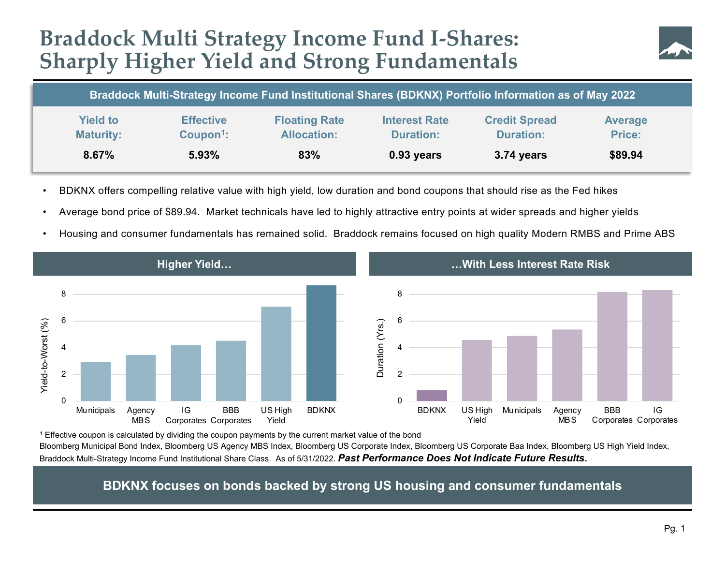#### **Braddock Multi Strategy Income Fund I-Shares: Sharply Higher Yield and Strong Fundamentals**



| Braddock Multi-Strategy Income Fund Institutional Shares (BDKNX) Portfolio Information as of May 2022 |                                 |                                            |                                          |                                          |                                 |  |  |  |  |
|-------------------------------------------------------------------------------------------------------|---------------------------------|--------------------------------------------|------------------------------------------|------------------------------------------|---------------------------------|--|--|--|--|
| <b>Yield to</b><br><b>Maturity:</b>                                                                   | <b>Effective</b><br>$Coupon1$ : | <b>Floating Rate</b><br><b>Allocation:</b> | <b>Interest Rate</b><br><b>Duration:</b> | <b>Credit Spread</b><br><b>Duration:</b> | <b>Average</b><br><b>Price:</b> |  |  |  |  |
| 8.67%                                                                                                 | 5.93%                           | 83%                                        | 0.93 years                               | 3.74 years                               | \$89.94                         |  |  |  |  |

- BDKNX offers compelling relative value with high yield, low duration and bond coupons that should rise as the Fed hikes
- Average bond price of \$89.94. Market technicals have led to highly attractive entry points at wider spreads and higher yields
- Housing and consumer fundamentals has remained solid. Braddock remains focused on high quality Modern RMBS and Prime ABS



<sup>1</sup> Effective coupon is calculated by dividing the coupon payments by the current market value of the bond Bloomberg Municipal Bond Index, Bloomberg US Agency MBS Index, Bloomberg US Corporate Index, Bloomberg US Corporate Baa Index, Bloomberg US High Yield Index, Braddock Multi-Strategy Income Fund Institutional Share Class. As of 5/31/2022. *Past Performance Does Not Indicate Future Results.* 

**BDKNX focuses on bonds backed by strong US housing and consumer fundamentals**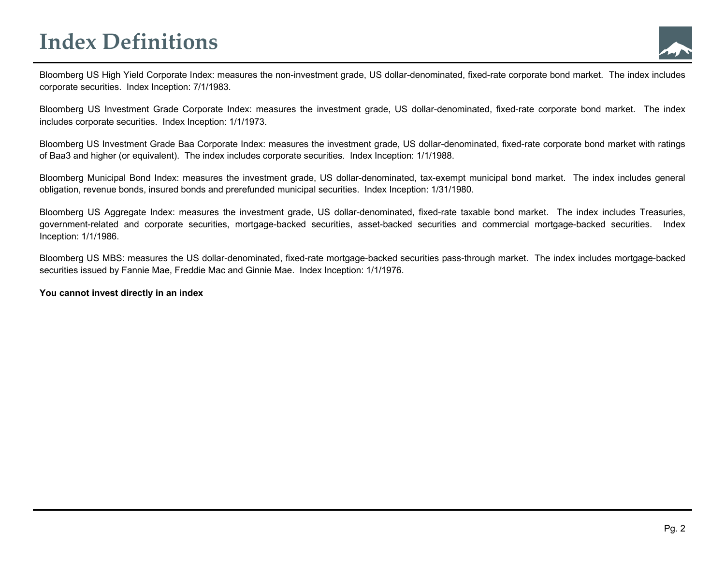## **Index Definitions**



Bloomberg US High Yield Corporate Index: measures the non-investment grade, US dollar-denominated, fixed-rate corporate bond market. The index includes corporate securities. Index Inception: 7/1/1983.

Bloomberg US Investment Grade Corporate Index: measures the investment grade, US dollar-denominated, fixed-rate corporate bond market. The index includes corporate securities. Index Inception: 1/1/1973.

Bloomberg US Investment Grade Baa Corporate Index: measures the investment grade, US dollar-denominated, fixed-rate corporate bond market with ratings of Baa3 and higher (or equivalent). The index includes corporate securities. Index Inception: 1/1/1988.

Bloomberg Municipal Bond Index: measures the investment grade, US dollar-denominated, tax-exempt municipal bond market. The index includes general obligation, revenue bonds, insured bonds and prerefunded municipal securities. Index Inception: 1/31/1980.

Bloomberg US Aggregate Index: measures the investment grade, US dollar-denominated, fixed-rate taxable bond market. The index includes Treasuries, government-related and corporate securities, mortgage-backed securities, asset-backed securities and commercial mortgage-backed securities. Index Inception: 1/1/1986.

Bloomberg US MBS: measures the US dollar-denominated, fixed-rate mortgage-backed securities pass-through market. The index includes mortgage-backed securities issued by Fannie Mae, Freddie Mac and Ginnie Mae. Index Inception: 1/1/1976.

**You cannot invest directly in an index**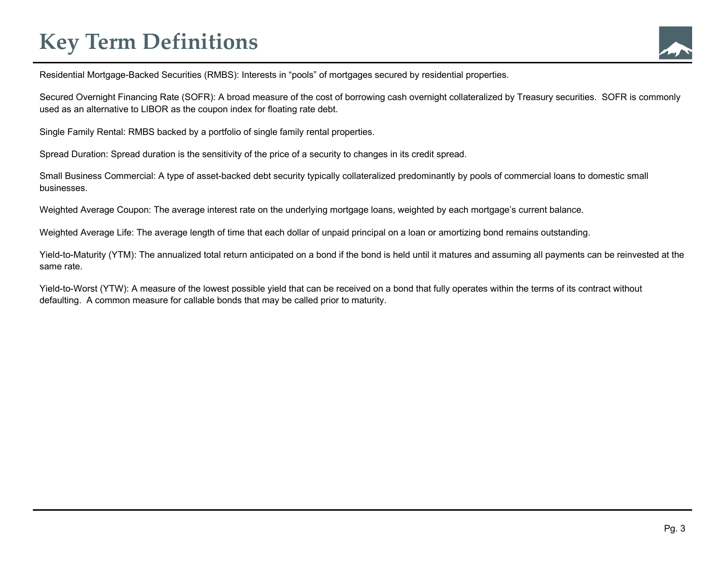# **Key Term Definitions**



Residential Mortgage-Backed Securities (RMBS): Interests in "pools" of mortgages secured by residential properties.

Secured Overnight Financing Rate (SOFR): A broad measure of the cost of borrowing cash overnight collateralized by Treasury securities. SOFR is commonly used as an alternative to LIBOR as the coupon index for floating rate debt.

Single Family Rental: RMBS backed by a portfolio of single family rental properties.

Spread Duration: Spread duration is the sensitivity of the price of a security to changes in its credit spread.

Small Business Commercial: A type of asset-backed debt security typically collateralized predominantly by pools of commercial loans to domestic small businesses.

Weighted Average Coupon: The average interest rate on the underlying mortgage loans, weighted by each mortgage's current balance.

Weighted Average Life: The average length of time that each dollar of unpaid principal on a loan or amortizing bond remains outstanding.

Yield-to-Maturity (YTM): The annualized total return anticipated on a bond if the bond is held until it matures and assuming all payments can be reinvested at the same rate.

Yield-to-Worst (YTW): A measure of the lowest possible yield that can be received on a bond that fully operates within the terms of its contract without defaulting. A common measure for callable bonds that may be called prior to maturity.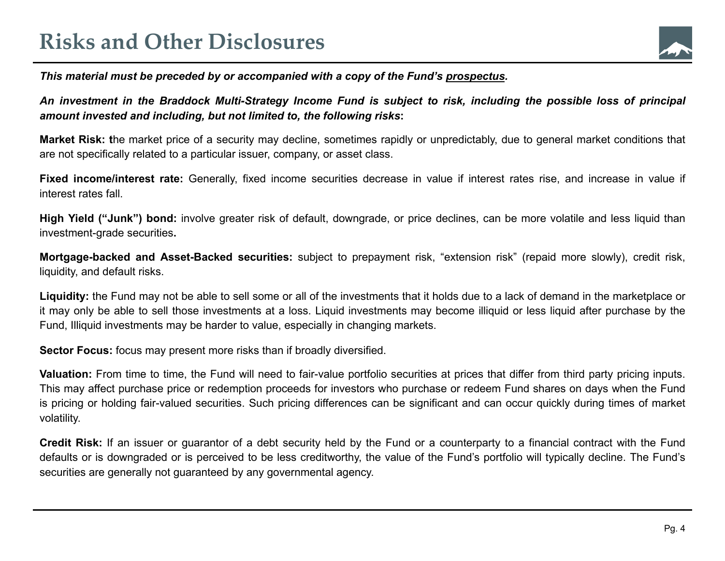### **Risks and Other Disclosures**



#### *This material must be preceded by or accompanied with a copy of the Fund's [prospectus.](https://libertystreetfunds.com/braddock-literature/)*

An investment in the Braddock Multi-Strategy Income Fund is subject to risk, including the possible loss of principal *amount invested and including, but not limited to, the following risks***:**

**Market Risk: t**he market price of a security may decline, sometimes rapidly or unpredictably, due to general market conditions that are not specifically related to a particular issuer, company, or asset class.

**Fixed income/interest rate:** Generally, fixed income securities decrease in value if interest rates rise, and increase in value if interest rates fall.

**High Yield ("Junk") bond:** involve greater risk of default, downgrade, or price declines, can be more volatile and less liquid than investment-grade securities**.**

**Mortgage-backed and Asset-Backed securities:** subject to prepayment risk, "extension risk" (repaid more slowly), credit risk, liquidity, and default risks.

**Liquidity:** the Fund may not be able to sell some or all of the investments that it holds due to a lack of demand in the marketplace or it may only be able to sell those investments at a loss. Liquid investments may become illiquid or less liquid after purchase by the Fund, Illiquid investments may be harder to value, especially in changing markets.

**Sector Focus:** focus may present more risks than if broadly diversified.

**Valuation:** From time to time, the Fund will need to fair-value portfolio securities at prices that differ from third party pricing inputs. This may affect purchase price or redemption proceeds for investors who purchase or redeem Fund shares on days when the Fund is pricing or holding fair-valued securities. Such pricing differences can be significant and can occur quickly during times of market volatility.

**Credit Risk:** If an issuer or guarantor of a debt security held by the Fund or a counterparty to a financial contract with the Fund defaults or is downgraded or is perceived to be less creditworthy, the value of the Fund's portfolio will typically decline. The Fund's securities are generally not guaranteed by any governmental agency.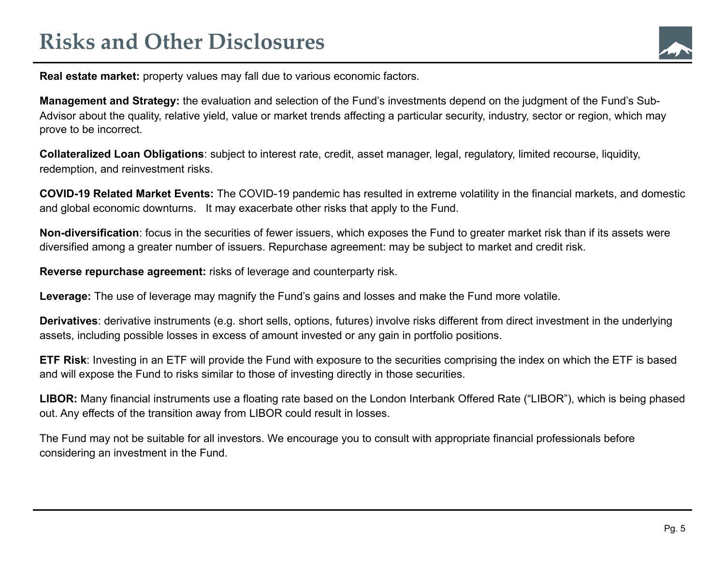### **Risks and Other Disclosures**



**Real estate market:** property values may fall due to various economic factors.

**Management and Strategy:** the evaluation and selection of the Fund's investments depend on the judgment of the Fund's Sub-Advisor about the quality, relative yield, value or market trends affecting a particular security, industry, sector or region, which may prove to be incorrect.

**Collateralized Loan Obligations**: subject to interest rate, credit, asset manager, legal, regulatory, limited recourse, liquidity, redemption, and reinvestment risks.

**COVID-19 Related Market Events:** The COVID-19 pandemic has resulted in extreme volatility in the financial markets, and domestic and global economic downturns. It may exacerbate other risks that apply to the Fund.

**Non-diversification**: focus in the securities of fewer issuers, which exposes the Fund to greater market risk than if its assets were diversified among a greater number of issuers. Repurchase agreement: may be subject to market and credit risk.

**Reverse repurchase agreement:** risks of leverage and counterparty risk.

**Leverage:** The use of leverage may magnify the Fund's gains and losses and make the Fund more volatile.

**Derivatives**: derivative instruments (e.g. short sells, options, futures) involve risks different from direct investment in the underlying assets, including possible losses in excess of amount invested or any gain in portfolio positions.

**ETF Risk**: Investing in an ETF will provide the Fund with exposure to the securities comprising the index on which the ETF is based and will expose the Fund to risks similar to those of investing directly in those securities.

**LIBOR:** Many financial instruments use a floating rate based on the London Interbank Offered Rate ("LIBOR"), which is being phased out. Any effects of the transition away from LIBOR could result in losses.

The Fund may not be suitable for all investors. We encourage you to consult with appropriate financial professionals before considering an investment in the Fund.